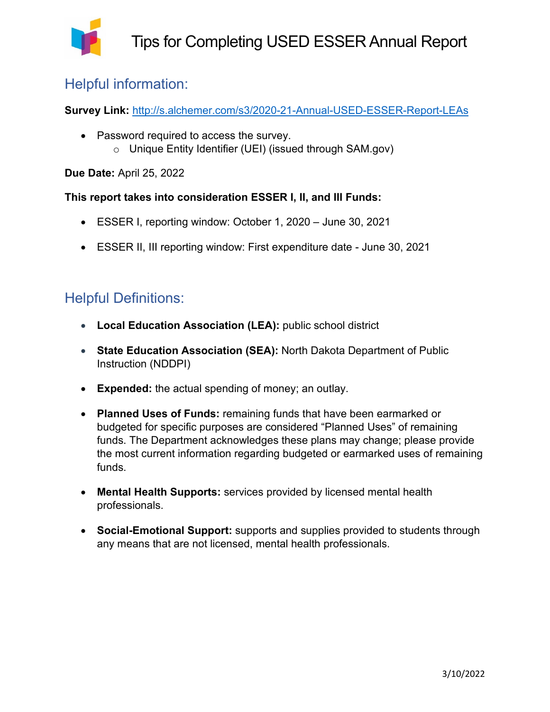

#### Helpful information:

**Survey Link:** <http://s.alchemer.com/s3/2020-21-Annual-USED-ESSER-Report-LEAs>

• Password required to access the survey. o Unique Entity Identifier (UEI) (issued through SAM.gov)

**Due Date:** April 25, 2022

**This report takes into consideration ESSER I, II, and III Funds:** 

- ESSER I, reporting window: October 1, 2020 June 30, 2021
- ESSER II, III reporting window: First expenditure date June 30, 2021

#### Helpful Definitions:

- **Local Education Association (LEA):** public school district
- **State Education Association (SEA):** North Dakota Department of Public Instruction (NDDPI)
- **Expended:** the actual spending of money; an outlay.
- **Planned Uses of Funds:** remaining funds that have been earmarked or budgeted for specific purposes are considered "Planned Uses" of remaining funds. The Department acknowledges these plans may change; please provide the most current information regarding budgeted or earmarked uses of remaining funds.
- **Mental Health Supports:** services provided by licensed mental health professionals.
- **Social-Emotional Support:** supports and supplies provided to students through any means that are not licensed, mental health professionals.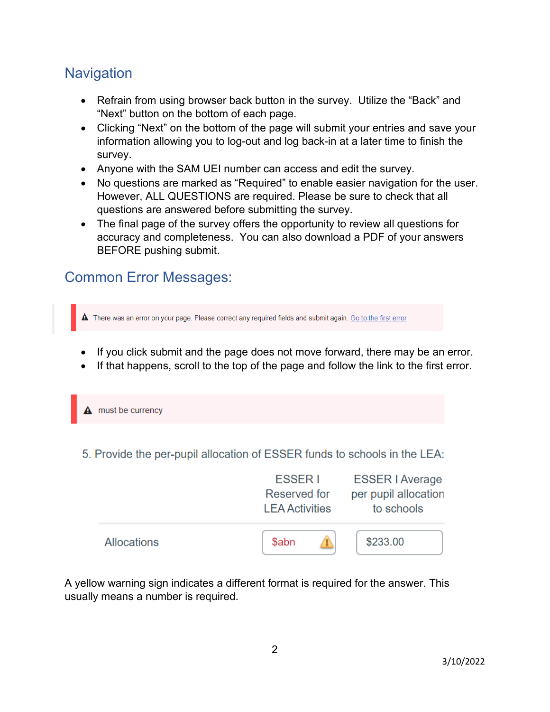### **Navigation**

- Refrain from using browser back button in the survey. Utilize the "Back" and "Next" button on the bottom of each page.
- Clicking "Next" on the bottom of the page will submit your entries and save your information allowing you to log-out and log back-in at a later time to finish the survey.
- Anyone with the SAM UEI number can access and edit the survey.
- No questions are marked as "Required" to enable easier navigation for the user. However, ALL QUESTIONS are required. Please be sure to check that all questions are answered before submitting the survey.
- The final page of the survey offers the opportunity to review all questions for accuracy and completeness. You can also download a PDF of your answers BEFORE pushing submit.

## Common Error Messages:

There was an error on your page. Please correct any required fields and submit again. Go to the first error

- If you click submit and the page does not move forward, there may be an error.
- If that happens, scroll to the top of the page and follow the link to the first error.

 $\mathbf A$  must be currency

5. Provide the per-pupil allocation of ESSER funds to schools in the LEA:



A yellow warning sign indicates a different format is required for the answer. This usually means a number is required.